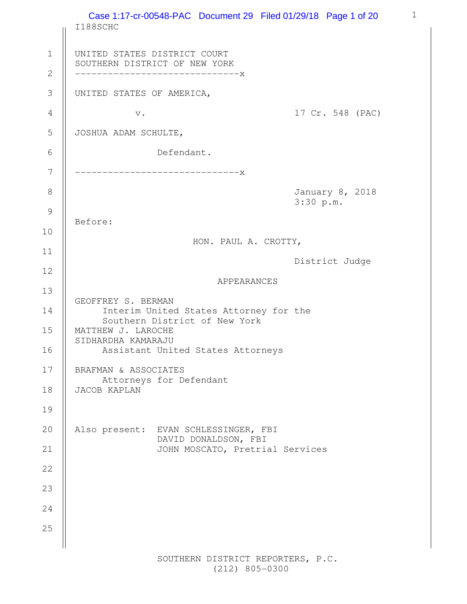|                               | Case 1:17-cr-00548-PAC Document 29 Filed 01/29/18 Page 1 of 20<br>I188SCHC                       |
|-------------------------------|--------------------------------------------------------------------------------------------------|
| $\mathbf 1$<br>$\overline{2}$ | UNITED STATES DISTRICT COURT<br>SOUTHERN DISTRICT OF NEW YORK<br>------------------------------X |
| $\mathfrak{Z}$                | UNITED STATES OF AMERICA,                                                                        |
| $\overline{4}$                | 17 Cr. 548 (PAC)<br>$\mathbf v$ .                                                                |
| 5                             | JOSHUA ADAM SCHULTE,                                                                             |
| 6                             | Defendant.                                                                                       |
| 7                             | ------------------------------X                                                                  |
| 8                             | January 8, 2018<br>3:30 p.m.                                                                     |
| $\mathcal{G}$                 | Before:                                                                                          |
| 10                            | HON. PAUL A. CROTTY,                                                                             |
| 11                            | District Judge                                                                                   |
| 12                            | APPEARANCES                                                                                      |
| 13                            |                                                                                                  |
| 14                            | GEOFFREY S. BERMAN<br>Interim United States Attorney for the<br>Southern District of New York    |
| 15<br>16                      | MATTHEW J. LAROCHE<br>SIDHARDHA KAMARAJU<br>Assistant United States Attorneys                    |
| 17                            | BRAFMAN & ASSOCIATES                                                                             |
| 18                            | Attorneys for Defendant<br>JACOB KAPLAN                                                          |
| 19                            |                                                                                                  |
| 20                            | Also present: EVAN SCHLESSINGER, FBI                                                             |
| 21                            | DAVID DONALDSON, FBI<br>JOHN MOSCATO, Pretrial Services                                          |
| 22                            |                                                                                                  |
| 23                            |                                                                                                  |
| 24                            |                                                                                                  |
| 25                            |                                                                                                  |
|                               |                                                                                                  |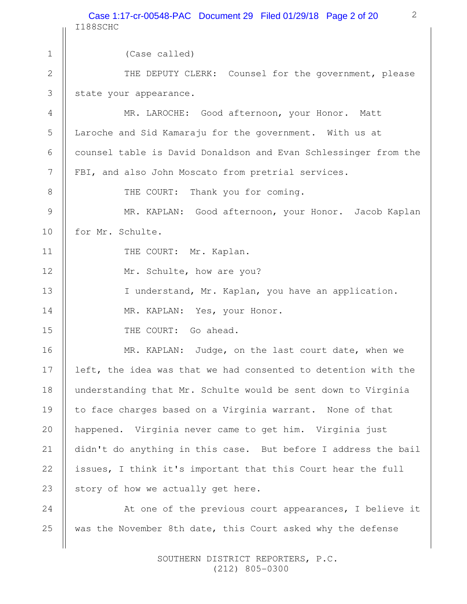2 I188SCHC (Case called) THE DEPUTY CLERK: Counsel for the government, please state your appearance. MR. LAROCHE: Good afternoon, your Honor. Matt Laroche and Sid Kamaraju for the government. With us at counsel table is David Donaldson and Evan Schlessinger from the FBI, and also John Moscato from pretrial services. THE COURT: Thank you for coming. MR. KAPLAN: Good afternoon, your Honor. Jacob Kaplan for Mr. Schulte. THE COURT: Mr. Kaplan. Mr. Schulte, how are you? I understand, Mr. Kaplan, you have an application. MR. KAPLAN: Yes, your Honor. THE COURT: Go ahead. MR. KAPLAN: Judge, on the last court date, when we left, the idea was that we had consented to detention with the understanding that Mr. Schulte would be sent down to Virginia to face charges based on a Virginia warrant. None of that happened. Virginia never came to get him. Virginia just didn't do anything in this case. But before I address the bail issues, I think it's important that this Court hear the full story of how we actually get here. At one of the previous court appearances, I believe it was the November 8th date, this Court asked why the defense 1 2 3 4 5 6 7 8 9 10 11 12 13 14 15 16 17 18 19 20 21 22 23 24 25 Case 1:17-cr-00548-PAC Document 29 Filed 01/29/18 Page 2 of 20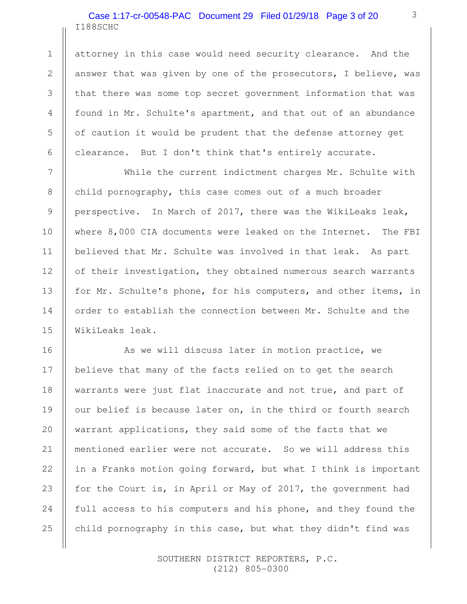## I188SCHC Case 1:17-cr-00548-PAC Document 29 Filed 01/29/18 Page 3 of 20

attorney in this case would need security clearance. And the answer that was given by one of the prosecutors, I believe, was that there was some top secret government information that was found in Mr. Schulte's apartment, and that out of an abundance of caution it would be prudent that the defense attorney get clearance. But I don't think that's entirely accurate.

While the current indictment charges Mr. Schulte with child pornography, this case comes out of a much broader perspective. In March of 2017, there was the WikiLeaks leak, where 8,000 CIA documents were leaked on the Internet. The FBI believed that Mr. Schulte was involved in that leak. As part of their investigation, they obtained numerous search warrants for Mr. Schulte's phone, for his computers, and other items, in order to establish the connection between Mr. Schulte and the WikiLeaks leak.

As we will discuss later in motion practice, we believe that many of the facts relied on to get the search warrants were just flat inaccurate and not true, and part of our belief is because later on, in the third or fourth search warrant applications, they said some of the facts that we mentioned earlier were not accurate. So we will address this in a Franks motion going forward, but what I think is important for the Court is, in April or May of 2017, the government had full access to his computers and his phone, and they found the child pornography in this case, but what they didn't find was

> SOUTHERN DISTRICT REPORTERS, P.C. (212) 805-0300

1

2

3

4

5

6

7

8

9

10

11

12

13

14

15

16

17

18

19

20

21

22

23

24

25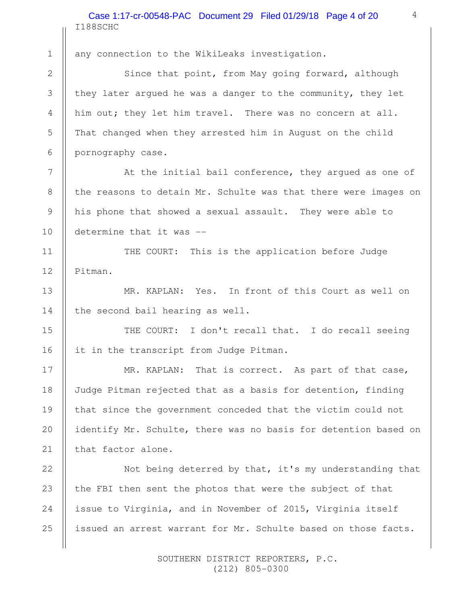I188SCHC Case 1:17-cr-00548-PAC Document 29 Filed 01/29/18 Page 4 of 20

any connection to the WikiLeaks investigation.

Since that point, from May going forward, although they later argued he was a danger to the community, they let him out; they let him travel. There was no concern at all. That changed when they arrested him in August on the child pornography case.

At the initial bail conference, they argued as one of the reasons to detain Mr. Schulte was that there were images on his phone that showed a sexual assault. They were able to determine that it was --

THE COURT: This is the application before Judge Pitman.

MR. KAPLAN: Yes. In front of this Court as well on the second bail hearing as well.

THE COURT: I don't recall that. I do recall seeing it in the transcript from Judge Pitman.

MR. KAPLAN: That is correct. As part of that case, Judge Pitman rejected that as a basis for detention, finding that since the government conceded that the victim could not identify Mr. Schulte, there was no basis for detention based on that factor alone.

Not being deterred by that, it's my understanding that the FBI then sent the photos that were the subject of that issue to Virginia, and in November of 2015, Virginia itself issued an arrest warrant for Mr. Schulte based on those facts. 25

> SOUTHERN DISTRICT REPORTERS, P.C. (212) 805-0300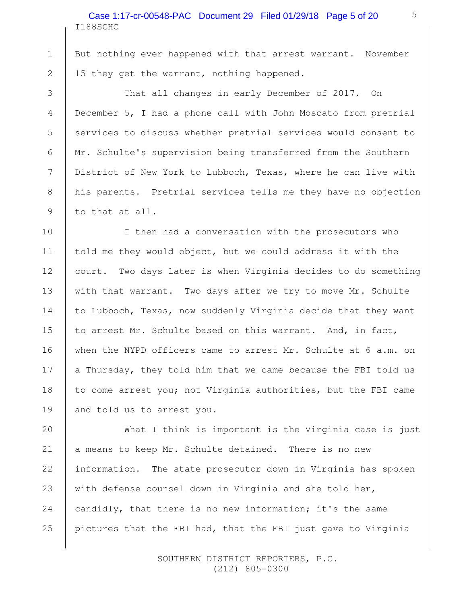### I188SCHC Case 1:17-cr-00548-PAC Document 29 Filed 01/29/18 Page 5 of 20

1

2

3

4

5

6

7

8

9

10

11

12

13

14

15

16

17

18

19

But nothing ever happened with that arrest warrant. November 15 they get the warrant, nothing happened.

That all changes in early December of 2017. On December 5, I had a phone call with John Moscato from pretrial services to discuss whether pretrial services would consent to Mr. Schulte's supervision being transferred from the Southern District of New York to Lubboch, Texas, where he can live with his parents. Pretrial services tells me they have no objection to that at all.

I then had a conversation with the prosecutors who told me they would object, but we could address it with the court. Two days later is when Virginia decides to do something with that warrant. Two days after we try to move Mr. Schulte to Lubboch, Texas, now suddenly Virginia decide that they want to arrest Mr. Schulte based on this warrant. And, in fact, when the NYPD officers came to arrest Mr. Schulte at 6 a.m. on a Thursday, they told him that we came because the FBI told us to come arrest you; not Virginia authorities, but the FBI came and told us to arrest you.

What I think is important is the Virginia case is just a means to keep Mr. Schulte detained. There is no new information. The state prosecutor down in Virginia has spoken with defense counsel down in Virginia and she told her, candidly, that there is no new information; it's the same pictures that the FBI had, that the FBI just gave to Virginia 20 21 22 23 24 25

> SOUTHERN DISTRICT REPORTERS, P.C. (212) 805-0300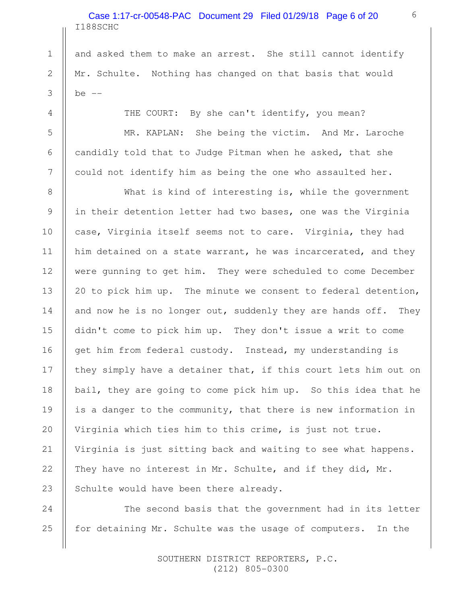# I188SCHC Case 1:17-cr-00548-PAC Document 29 Filed 01/29/18 Page 6 of 20

1

2

3

4

5

6

7

8

9

10

11

12

13

14

15

16

17

18

19

20

21

22

23

24

25

and asked them to make an arrest. She still cannot identify Mr. Schulte. Nothing has changed on that basis that would  $be$   $--$ 

THE COURT: By she can't identify, you mean?

MR. KAPLAN: She being the victim. And Mr. Laroche candidly told that to Judge Pitman when he asked, that she could not identify him as being the one who assaulted her.

What is kind of interesting is, while the government in their detention letter had two bases, one was the Virginia case, Virginia itself seems not to care. Virginia, they had him detained on a state warrant, he was incarcerated, and they were gunning to get him. They were scheduled to come December 20 to pick him up. The minute we consent to federal detention, and now he is no longer out, suddenly they are hands off. They didn't come to pick him up. They don't issue a writ to come get him from federal custody. Instead, my understanding is they simply have a detainer that, if this court lets him out on bail, they are going to come pick him up. So this idea that he is a danger to the community, that there is new information in Virginia which ties him to this crime, is just not true. Virginia is just sitting back and waiting to see what happens. They have no interest in Mr. Schulte, and if they did, Mr. Schulte would have been there already.

The second basis that the government had in its letter for detaining Mr. Schulte was the usage of computers. In the

> SOUTHERN DISTRICT REPORTERS, P.C. (212) 805-0300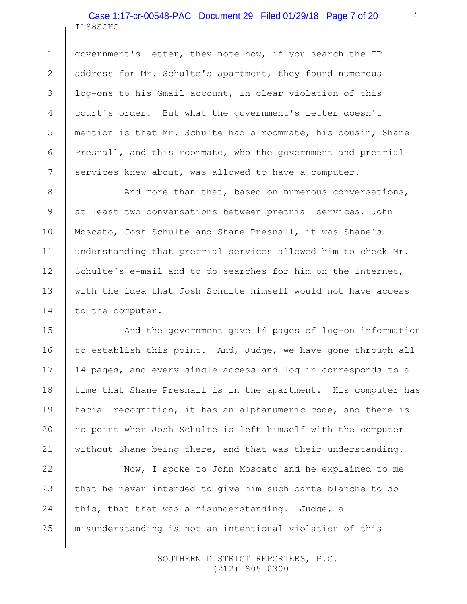### I188SCHC Case 1:17-cr-00548-PAC Document 29 Filed 01/29/18 Page 7 of 20

1

2

3

4

5

6

7

8

9

10

11

12

13

14

15

16

17

18

19

20

21

22

25

government's letter, they note how, if you search the IP address for Mr. Schulte's apartment, they found numerous log-ons to his Gmail account, in clear violation of this court's order. But what the government's letter doesn't mention is that Mr. Schulte had a roommate, his cousin, Shane Presnall, and this roommate, who the government and pretrial services knew about, was allowed to have a computer.

And more than that, based on numerous conversations, at least two conversations between pretrial services, John Moscato, Josh Schulte and Shane Presnall, it was Shane's understanding that pretrial services allowed him to check Mr. Schulte's e-mail and to do searches for him on the Internet, with the idea that Josh Schulte himself would not have access to the computer.

And the government gave 14 pages of log-on information to establish this point. And, Judge, we have gone through all 14 pages, and every single access and log-in corresponds to a time that Shane Presnall is in the apartment. His computer has facial recognition, it has an alphanumeric code, and there is no point when Josh Schulte is left himself with the computer without Shane being there, and that was their understanding.

Now, I spoke to John Moscato and he explained to me that he never intended to give him such carte blanche to do this, that that was a misunderstanding. Judge, a misunderstanding is not an intentional violation of this 23 24

> SOUTHERN DISTRICT REPORTERS, P.C. (212) 805-0300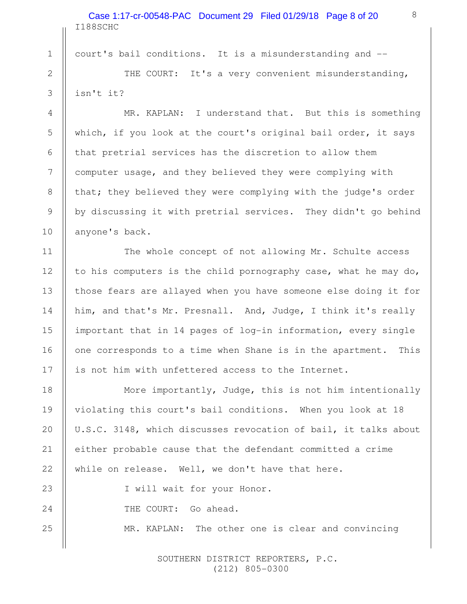I188SCHC Case 1:17-cr-00548-PAC Document 29 Filed 01/29/18 Page 8 of 20

court's bail conditions. It is a misunderstanding and --

1

2

3

4

5

6

7

8

9

10

11

12

13

14

15

16

17

THE COURT: It's a very convenient misunderstanding, isn't it?

MR. KAPLAN: I understand that. But this is something which, if you look at the court's original bail order, it says that pretrial services has the discretion to allow them computer usage, and they believed they were complying with that; they believed they were complying with the judge's order by discussing it with pretrial services. They didn't go behind anyone's back.

The whole concept of not allowing Mr. Schulte access to his computers is the child pornography case, what he may do, those fears are allayed when you have someone else doing it for him, and that's Mr. Presnall. And, Judge, I think it's really important that in 14 pages of log-in information, every single one corresponds to a time when Shane is in the apartment. This is not him with unfettered access to the Internet.

More importantly, Judge, this is not him intentionally violating this court's bail conditions. When you look at 18 U.S.C. 3148, which discusses revocation of bail, it talks about either probable cause that the defendant committed a crime while on release. Well, we don't have that here. 18 19 20 21 22

I will wait for your Honor. THE COURT: Go ahead. MR. KAPLAN: The other one is clear and convincing 23 24 25

> SOUTHERN DISTRICT REPORTERS, P.C. (212) 805-0300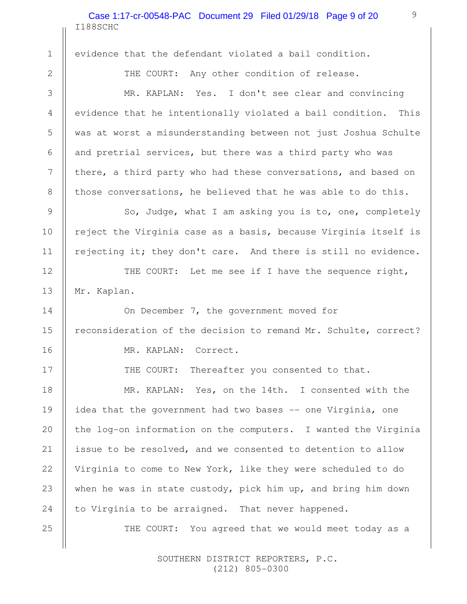I188SCHC Case 1:17-cr-00548-PAC Document 29 Filed 01/29/18 Page 9 of 20

evidence that the defendant violated a bail condition.

1

2

3

4

5

6

7

8

9

10

11

12

13

14

15

16

17

25

THE COURT: Any other condition of release.

9

MR. KAPLAN: Yes. I don't see clear and convincing evidence that he intentionally violated a bail condition. This was at worst a misunderstanding between not just Joshua Schulte and pretrial services, but there was a third party who was there, a third party who had these conversations, and based on those conversations, he believed that he was able to do this.

So, Judge, what I am asking you is to, one, completely reject the Virginia case as a basis, because Virginia itself is rejecting it; they don't care. And there is still no evidence.

THE COURT: Let me see if I have the sequence right, Mr. Kaplan.

On December 7, the government moved for reconsideration of the decision to remand Mr. Schulte, correct? MR. KAPLAN: Correct.

THE COURT: Thereafter you consented to that.

MR. KAPLAN: Yes, on the 14th. I consented with the idea that the government had two bases -- one Virginia, one the log-on information on the computers. I wanted the Virginia issue to be resolved, and we consented to detention to allow Virginia to come to New York, like they were scheduled to do when he was in state custody, pick him up, and bring him down to Virginia to be arraigned. That never happened. 18 19 20 21 22 23 24

THE COURT: You agreed that we would meet today as a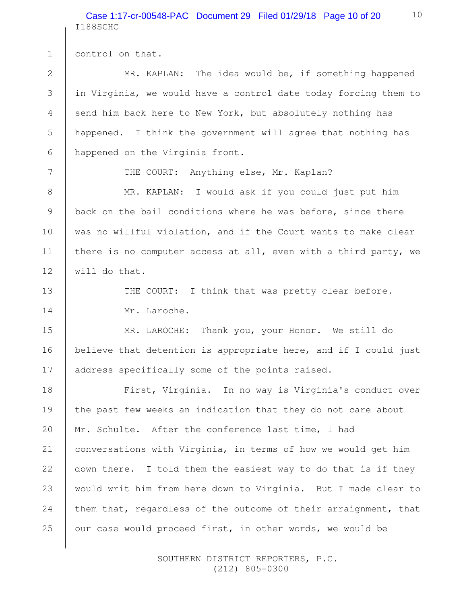I188SCHC Case 1:17-cr-00548-PAC Document 29 Filed 01/29/18 Page 10 of 20

control on that. MR. KAPLAN: The idea would be, if something happened in Virginia, we would have a control date today forcing them to send him back here to New York, but absolutely nothing has happened. I think the government will agree that nothing has happened on the Virginia front. THE COURT: Anything else, Mr. Kaplan? MR. KAPLAN: I would ask if you could just put him back on the bail conditions where he was before, since there was no willful violation, and if the Court wants to make clear there is no computer access at all, even with a third party, we will do that. THE COURT: I think that was pretty clear before. Mr. Laroche. MR. LAROCHE: Thank you, your Honor. We still do believe that detention is appropriate here, and if I could just address specifically some of the points raised. First, Virginia. In no way is Virginia's conduct over the past few weeks an indication that they do not care about Mr. Schulte. After the conference last time, I had conversations with Virginia, in terms of how we would get him down there. I told them the easiest way to do that is if they would writ him from here down to Virginia. But I made clear to them that, regardless of the outcome of their arraignment, that our case would proceed first, in other words, we would be 1 2 3 4 5 6 7 8 9 10 11 12 13 14 15 16 17 18 19 20 21 22 23 24 25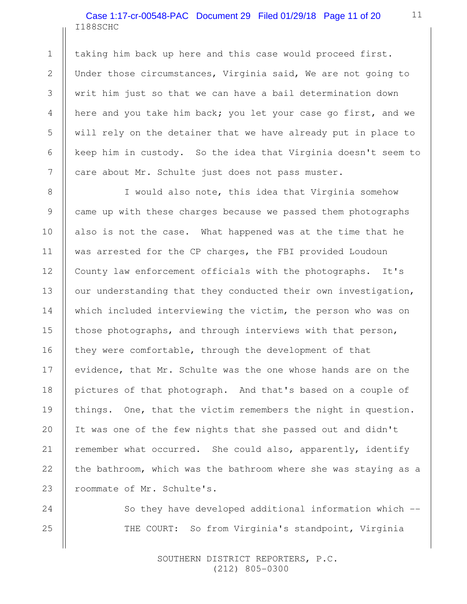## I188SCHC Case 1:17-cr-00548-PAC Document 29 Filed 01/29/18 Page 11 of 20

1

2

3

4

5

6

7

8

9

10

11

12

13

14

15

16

17

18

19

20

21

22

23

24

25

taking him back up here and this case would proceed first. Under those circumstances, Virginia said, We are not going to writ him just so that we can have a bail determination down here and you take him back; you let your case go first, and we will rely on the detainer that we have already put in place to keep him in custody. So the idea that Virginia doesn't seem to care about Mr. Schulte just does not pass muster.

I would also note, this idea that Virginia somehow came up with these charges because we passed them photographs also is not the case. What happened was at the time that he was arrested for the CP charges, the FBI provided Loudoun County law enforcement officials with the photographs. It's our understanding that they conducted their own investigation, which included interviewing the victim, the person who was on those photographs, and through interviews with that person, they were comfortable, through the development of that evidence, that Mr. Schulte was the one whose hands are on the pictures of that photograph. And that's based on a couple of things. One, that the victim remembers the night in question. It was one of the few nights that she passed out and didn't remember what occurred. She could also, apparently, identify the bathroom, which was the bathroom where she was staying as a roommate of Mr. Schulte's.

> So they have developed additional information which -- THE COURT: So from Virginia's standpoint, Virginia

> > SOUTHERN DISTRICT REPORTERS, P.C. (212) 805-0300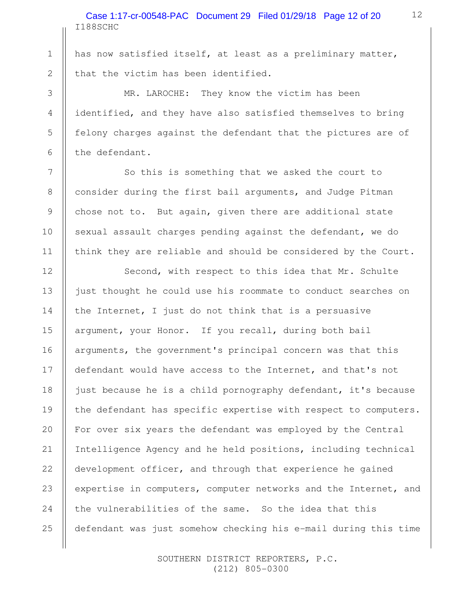I188SCHC Case 1:17-cr-00548-PAC Document 29 Filed 01/29/18 Page 12 of 20

has now satisfied itself, at least as a preliminary matter, that the victim has been identified.

1

2

3

4

5

6

7

8

9

10

11

12

13

14

15

16

18

20

21

22

25

MR. LAROCHE: They know the victim has been identified, and they have also satisfied themselves to bring felony charges against the defendant that the pictures are of the defendant.

So this is something that we asked the court to consider during the first bail arguments, and Judge Pitman chose not to. But again, given there are additional state sexual assault charges pending against the defendant, we do think they are reliable and should be considered by the Court.

Second, with respect to this idea that Mr. Schulte just thought he could use his roommate to conduct searches on the Internet, I just do not think that is a persuasive argument, your Honor. If you recall, during both bail arguments, the government's principal concern was that this defendant would have access to the Internet, and that's not just because he is a child pornography defendant, it's because the defendant has specific expertise with respect to computers. For over six years the defendant was employed by the Central Intelligence Agency and he held positions, including technical development officer, and through that experience he gained expertise in computers, computer networks and the Internet, and the vulnerabilities of the same. So the idea that this defendant was just somehow checking his e-mail during this time 17 19 23 24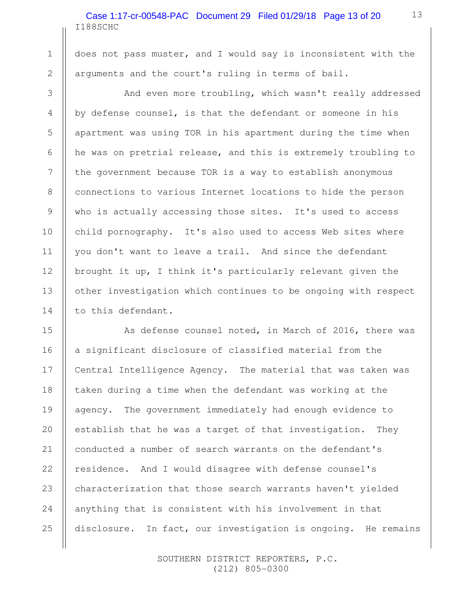### I188SCHC Case 1:17-cr-00548-PAC Document 29 Filed 01/29/18 Page 13 of 20

1

2

3

4

5

6

7

8

9

10

11

12

13

14

does not pass muster, and I would say is inconsistent with the arguments and the court's ruling in terms of bail.

And even more troubling, which wasn't really addressed by defense counsel, is that the defendant or someone in his apartment was using TOR in his apartment during the time when he was on pretrial release, and this is extremely troubling to the government because TOR is a way to establish anonymous connections to various Internet locations to hide the person who is actually accessing those sites. It's used to access child pornography. It's also used to access Web sites where you don't want to leave a trail. And since the defendant brought it up, I think it's particularly relevant given the other investigation which continues to be ongoing with respect to this defendant.

As defense counsel noted, in March of 2016, there was a significant disclosure of classified material from the Central Intelligence Agency. The material that was taken was taken during a time when the defendant was working at the agency. The government immediately had enough evidence to establish that he was a target of that investigation. They conducted a number of search warrants on the defendant's residence. And I would disagree with defense counsel's characterization that those search warrants haven't yielded anything that is consistent with his involvement in that disclosure. In fact, our investigation is ongoing. He remains 15 16 17 18 19 20 21 22 23 24 25

> SOUTHERN DISTRICT REPORTERS, P.C. (212) 805-0300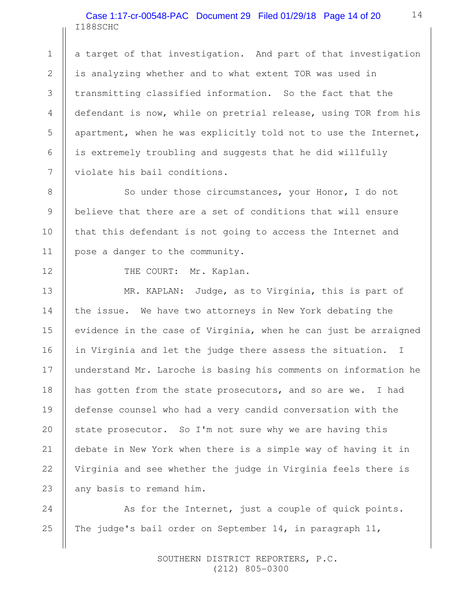### I188SCHC Case 1:17-cr-00548-PAC Document 29 Filed 01/29/18 Page 14 of 20

a target of that investigation. And part of that investigation is analyzing whether and to what extent TOR was used in transmitting classified information. So the fact that the defendant is now, while on pretrial release, using TOR from his apartment, when he was explicitly told not to use the Internet, is extremely troubling and suggests that he did willfully violate his bail conditions.

So under those circumstances, your Honor, I do not believe that there are a set of conditions that will ensure that this defendant is not going to access the Internet and pose a danger to the community.

1

2

3

4

5

6

7

8

9

10

11

12

13

14

15

16

17

18

19

20

21

22

23

THE COURT: Mr. Kaplan.

MR. KAPLAN: Judge, as to Virginia, this is part of the issue. We have two attorneys in New York debating the evidence in the case of Virginia, when he can just be arraigned in Virginia and let the judge there assess the situation. I understand Mr. Laroche is basing his comments on information he has gotten from the state prosecutors, and so are we. I had defense counsel who had a very candid conversation with the state prosecutor. So I'm not sure why we are having this debate in New York when there is a simple way of having it in Virginia and see whether the judge in Virginia feels there is any basis to remand him.

As for the Internet, just a couple of quick points. The judge's bail order on September 14, in paragraph 11, 24 25

> SOUTHERN DISTRICT REPORTERS, P.C. (212) 805-0300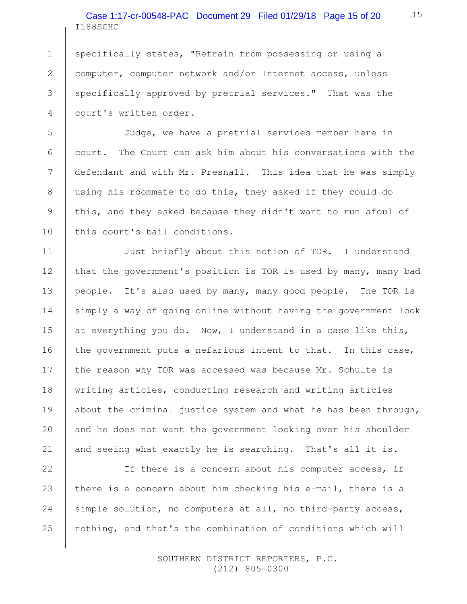I188SCHC Case 1:17-cr-00548-PAC Document 29 Filed 01/29/18 Page 15 of 20

specifically states, "Refrain from possessing or using a computer, computer network and/or Internet access, unless specifically approved by pretrial services." That was the court's written order.

1

2

3

4

5

6

7

8

9

10

11

12

13

14

15

16

17

18

19

20

21

Judge, we have a pretrial services member here in court. The Court can ask him about his conversations with the defendant and with Mr. Presnall. This idea that he was simply using his roommate to do this, they asked if they could do this, and they asked because they didn't want to run afoul of this court's bail conditions.

Just briefly about this notion of TOR. I understand that the government's position is TOR is used by many, many bad people. It's also used by many, many good people. The TOR is simply a way of going online without having the government look at everything you do. Now, I understand in a case like this, the government puts a nefarious intent to that. In this case, the reason why TOR was accessed was because Mr. Schulte is writing articles, conducting research and writing articles about the criminal justice system and what he has been through, and he does not want the government looking over his shoulder and seeing what exactly he is searching. That's all it is.

If there is a concern about his computer access, if there is a concern about him checking his e-mail, there is a simple solution, no computers at all, no third-party access, nothing, and that's the combination of conditions which will 22 23 24 25

> SOUTHERN DISTRICT REPORTERS, P.C. (212) 805-0300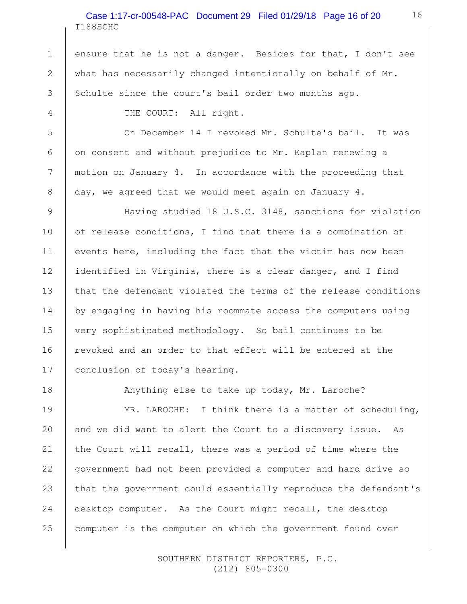## I188SCHC Case 1:17-cr-00548-PAC Document 29 Filed 01/29/18 Page 16 of 20

ensure that he is not a danger. Besides for that, I don't see what has necessarily changed intentionally on behalf of Mr. Schulte since the court's bail order two months ago.

THE COURT: All right.

1

2

3

4

5

6

7

8

9

10

11

12

13

14

15

16

17

18

19

20

21

22

23

24

25

On December 14 I revoked Mr. Schulte's bail. It was on consent and without prejudice to Mr. Kaplan renewing a motion on January 4. In accordance with the proceeding that day, we agreed that we would meet again on January 4.

Having studied 18 U.S.C. 3148, sanctions for violation of release conditions, I find that there is a combination of events here, including the fact that the victim has now been identified in Virginia, there is a clear danger, and I find that the defendant violated the terms of the release conditions by engaging in having his roommate access the computers using very sophisticated methodology. So bail continues to be revoked and an order to that effect will be entered at the conclusion of today's hearing.

Anything else to take up today, Mr. Laroche?

MR. LAROCHE: I think there is a matter of scheduling, and we did want to alert the Court to a discovery issue. As the Court will recall, there was a period of time where the government had not been provided a computer and hard drive so that the government could essentially reproduce the defendant's desktop computer. As the Court might recall, the desktop computer is the computer on which the government found over

> SOUTHERN DISTRICT REPORTERS, P.C. (212) 805-0300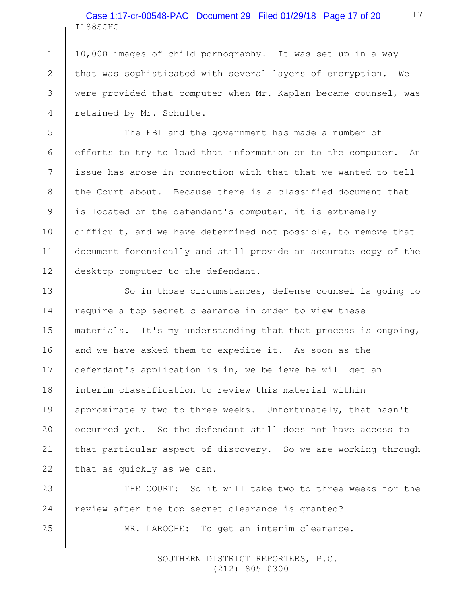I188SCHC Case 1:17-cr-00548-PAC Document 29 Filed 01/29/18 Page 17 of 20

1

2

3

4

5

6

7

8

9

10

11

12

13

14

15

16

18

19

20

21

22

10,000 images of child pornography. It was set up in a way that was sophisticated with several layers of encryption. We were provided that computer when Mr. Kaplan became counsel, was retained by Mr. Schulte.

The FBI and the government has made a number of efforts to try to load that information on to the computer. An issue has arose in connection with that that we wanted to tell the Court about. Because there is a classified document that is located on the defendant's computer, it is extremely difficult, and we have determined not possible, to remove that document forensically and still provide an accurate copy of the desktop computer to the defendant.

So in those circumstances, defense counsel is going to require a top secret clearance in order to view these materials. It's my understanding that that process is ongoing, and we have asked them to expedite it. As soon as the defendant's application is in, we believe he will get an interim classification to review this material within approximately two to three weeks. Unfortunately, that hasn't occurred yet. So the defendant still does not have access to that particular aspect of discovery. So we are working through that as quickly as we can. 17

THE COURT: So it will take two to three weeks for the review after the top secret clearance is granted? MR. LAROCHE: To get an interim clearance. 23 24 25

> SOUTHERN DISTRICT REPORTERS, P.C. (212) 805-0300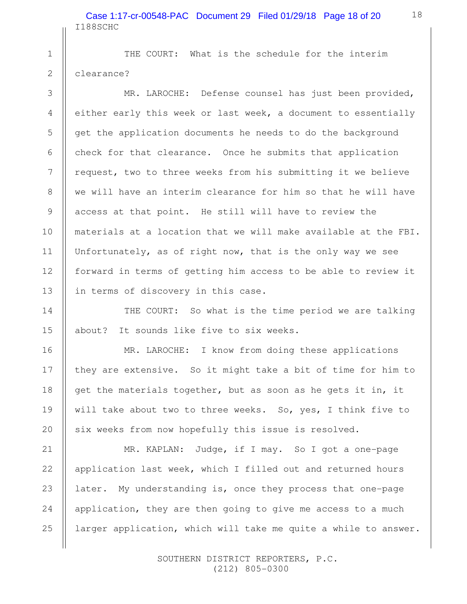THE COURT: What is the schedule for the interim clearance?

1

2

3

4

5

6

7

8

9

10

11

12

13

14

15

16

17

18

19

20

MR. LAROCHE: Defense counsel has just been provided, either early this week or last week, a document to essentially get the application documents he needs to do the background check for that clearance. Once he submits that application request, two to three weeks from his submitting it we believe we will have an interim clearance for him so that he will have access at that point. He still will have to review the materials at a location that we will make available at the FBI. Unfortunately, as of right now, that is the only way we see forward in terms of getting him access to be able to review it in terms of discovery in this case.

THE COURT: So what is the time period we are talking about? It sounds like five to six weeks.

MR. LAROCHE: I know from doing these applications they are extensive. So it might take a bit of time for him to get the materials together, but as soon as he gets it in, it will take about two to three weeks. So, yes, I think five to six weeks from now hopefully this issue is resolved.

MR. KAPLAN: Judge, if I may. So I got a one-page application last week, which I filled out and returned hours later. My understanding is, once they process that one-page application, they are then going to give me access to a much larger application, which will take me quite a while to answer. 21 22 23 24 25

> SOUTHERN DISTRICT REPORTERS, P.C. (212) 805-0300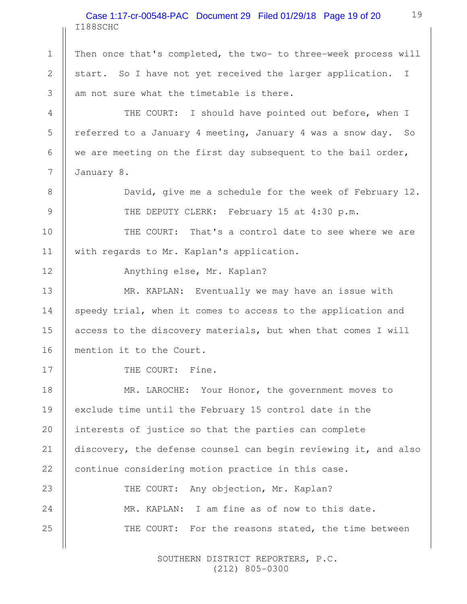#### I188SCHC Case 1:17-cr-00548-PAC Document 29 Filed 01/29/18 Page 19 of 20

Then once that's completed, the two- to three-week process will start. So I have not yet received the larger application. I am not sure what the timetable is there.

THE COURT: I should have pointed out before, when I referred to a January 4 meeting, January 4 was a snow day. So we are meeting on the first day subsequent to the bail order, January 8.

> David, give me a schedule for the week of February 12. THE DEPUTY CLERK: February 15 at 4:30 p.m.

THE COURT: That's a control date to see where we are with regards to Mr. Kaplan's application. 10 11

Anything else, Mr. Kaplan?

MR. KAPLAN: Eventually we may have an issue with speedy trial, when it comes to access to the application and access to the discovery materials, but when that comes I will mention it to the Court.

THE COURT: Fine.

1

2

3

4

5

6

7

8

9

12

13

14

15

16

17

MR. LAROCHE: Your Honor, the government moves to exclude time until the February 15 control date in the interests of justice so that the parties can complete discovery, the defense counsel can begin reviewing it, and also continue considering motion practice in this case. 18 19 20 21 22

THE COURT: Any objection, Mr. Kaplan? MR. KAPLAN: I am fine as of now to this date. THE COURT: For the reasons stated, the time between 23 24 25

> SOUTHERN DISTRICT REPORTERS, P.C. (212) 805-0300